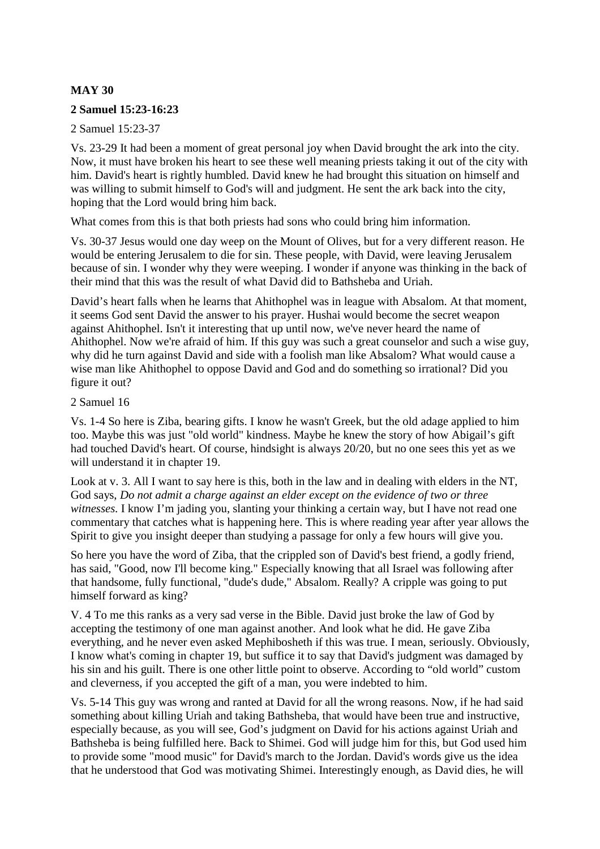## **MAY 30**

### **2 Samuel 15:23-16:23**

2 Samuel 15:23-37

Vs. 23-29 It had been a moment of great personal joy when David brought the ark into the city. Now, it must have broken his heart to see these well meaning priests taking it out of the city with him. David's heart is rightly humbled. David knew he had brought this situation on himself and was willing to submit himself to God's will and judgment. He sent the ark back into the city, hoping that the Lord would bring him back.

What comes from this is that both priests had sons who could bring him information.

Vs. 30-37 Jesus would one day weep on the Mount of Olives, but for a very different reason. He would be entering Jerusalem to die for sin. These people, with David, were leaving Jerusalem because of sin. I wonder why they were weeping. I wonder if anyone was thinking in the back of their mind that this was the result of what David did to Bathsheba and Uriah.

David's heart falls when he learns that Ahithophel was in league with Absalom. At that moment, it seems God sent David the answer to his prayer. Hushai would become the secret weapon against Ahithophel. Isn't it interesting that up until now, we've never heard the name of Ahithophel. Now we're afraid of him. If this guy was such a great counselor and such a wise guy, why did he turn against David and side with a foolish man like Absalom? What would cause a wise man like Ahithophel to oppose David and God and do something so irrational? Did you figure it out?

#### 2 Samuel 16

Vs. 1-4 So here is Ziba, bearing gifts. I know he wasn't Greek, but the old adage applied to him too. Maybe this was just "old world" kindness. Maybe he knew the story of how Abigail's gift had touched David's heart. Of course, hindsight is always 20/20, but no one sees this yet as we will understand it in chapter 19.

Look at v. 3. All I want to say here is this, both in the law and in dealing with elders in the NT, God says, *Do not admit a charge against an elder except on the evidence of two or three witnesses.* I know I'm jading you, slanting your thinking a certain way, but I have not read one commentary that catches what is happening here. This is where reading year after year allows the Spirit to give you insight deeper than studying a passage for only a few hours will give you.

So here you have the word of Ziba, that the crippled son of David's best friend, a godly friend, has said, "Good, now I'll become king." Especially knowing that all Israel was following after that handsome, fully functional, "dude's dude," Absalom. Really? A cripple was going to put himself forward as king?

V. 4 To me this ranks as a very sad verse in the Bible. David just broke the law of God by accepting the testimony of one man against another. And look what he did. He gave Ziba everything, and he never even asked Mephibosheth if this was true. I mean, seriously. Obviously, I know what's coming in chapter 19, but suffice it to say that David's judgment was damaged by his sin and his guilt. There is one other little point to observe. According to "old world" custom and cleverness, if you accepted the gift of a man, you were indebted to him.

Vs. 5-14 This guy was wrong and ranted at David for all the wrong reasons. Now, if he had said something about killing Uriah and taking Bathsheba, that would have been true and instructive, especially because, as you will see, God's judgment on David for his actions against Uriah and Bathsheba is being fulfilled here. Back to Shimei. God will judge him for this, but God used him to provide some "mood music" for David's march to the Jordan. David's words give us the idea that he understood that God was motivating Shimei. Interestingly enough, as David dies, he will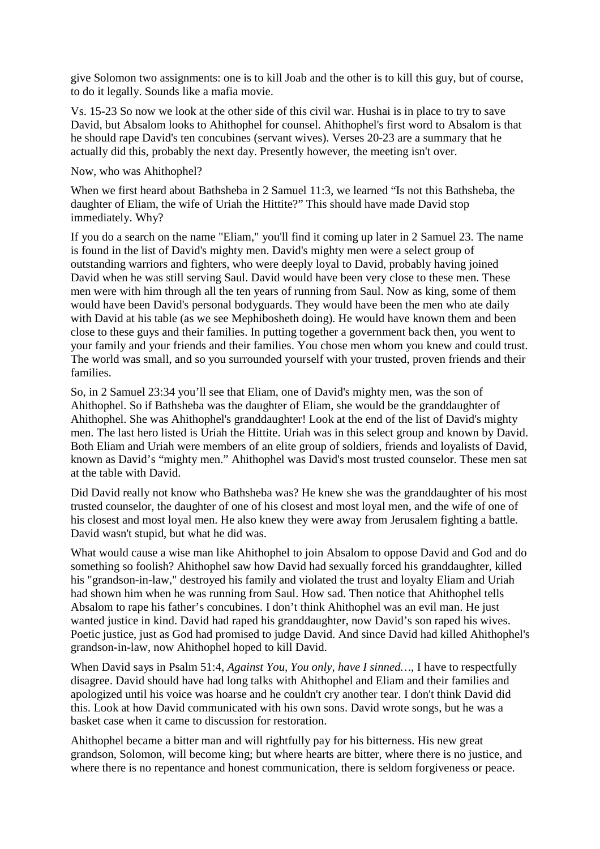give Solomon two assignments: one is to kill Joab and the other is to kill this guy, but of course, to do it legally. Sounds like a mafia movie.

Vs. 15-23 So now we look at the other side of this civil war. Hushai is in place to try to save David, but Absalom looks to Ahithophel for counsel. Ahithophel's first word to Absalom is that he should rape David's ten concubines (servant wives). Verses 20-23 are a summary that he actually did this, probably the next day. Presently however, the meeting isn't over.

Now, who was Ahithophel?

When we first heard about Bathsheba in 2 Samuel 11:3, we learned "Is not this Bathsheba, the daughter of Eliam, the wife of Uriah the Hittite?" This should have made David stop immediately. Why?

If you do a search on the name "Eliam," you'll find it coming up later in 2 Samuel 23. The name is found in the list of David's mighty men. David's mighty men were a select group of outstanding warriors and fighters, who were deeply loyal to David, probably having joined David when he was still serving Saul. David would have been very close to these men. These men were with him through all the ten years of running from Saul. Now as king, some of them would have been David's personal bodyguards. They would have been the men who ate daily with David at his table (as we see Mephibosheth doing). He would have known them and been close to these guys and their families. In putting together a government back then, you went to your family and your friends and their families. You chose men whom you knew and could trust. The world was small, and so you surrounded yourself with your trusted, proven friends and their families.

So, in 2 Samuel 23:34 you'll see that Eliam, one of David's mighty men, was the son of Ahithophel. So if Bathsheba was the daughter of Eliam, she would be the granddaughter of Ahithophel. She was Ahithophel's granddaughter! Look at the end of the list of David's mighty men. The last hero listed is Uriah the Hittite. Uriah was in this select group and known by David. Both Eliam and Uriah were members of an elite group of soldiers, friends and loyalists of David, known as David's "mighty men." Ahithophel was David's most trusted counselor. These men sat at the table with David.

Did David really not know who Bathsheba was? He knew she was the granddaughter of his most trusted counselor, the daughter of one of his closest and most loyal men, and the wife of one of his closest and most loyal men. He also knew they were away from Jerusalem fighting a battle. David wasn't stupid, but what he did was.

What would cause a wise man like Ahithophel to join Absalom to oppose David and God and do something so foolish? Ahithophel saw how David had sexually forced his granddaughter, killed his "grandson-in-law," destroyed his family and violated the trust and loyalty Eliam and Uriah had shown him when he was running from Saul. How sad. Then notice that Ahithophel tells Absalom to rape his father's concubines. I don't think Ahithophel was an evil man. He just wanted justice in kind. David had raped his granddaughter, now David's son raped his wives. Poetic justice, just as God had promised to judge David. And since David had killed Ahithophel's grandson-in-law, now Ahithophel hoped to kill David.

When David says in Psalm 51:4, *Against You, You only, have I sinned…,* I have to respectfully disagree. David should have had long talks with Ahithophel and Eliam and their families and apologized until his voice was hoarse and he couldn't cry another tear. I don't think David did this. Look at how David communicated with his own sons. David wrote songs, but he was a basket case when it came to discussion for restoration.

Ahithophel became a bitter man and will rightfully pay for his bitterness. His new great grandson, Solomon, will become king; but where hearts are bitter, where there is no justice, and where there is no repentance and honest communication, there is seldom forgiveness or peace.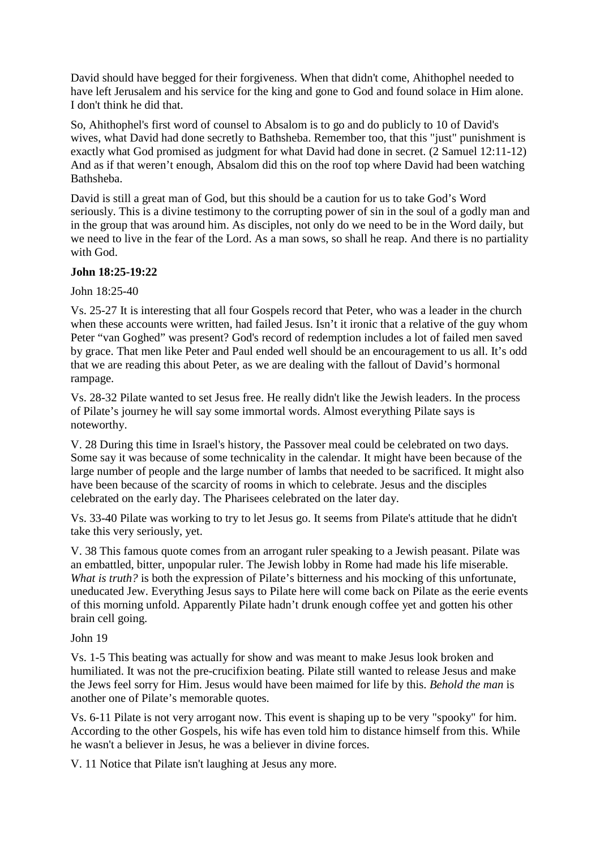David should have begged for their forgiveness. When that didn't come, Ahithophel needed to have left Jerusalem and his service for the king and gone to God and found solace in Him alone. I don't think he did that.

So, Ahithophel's first word of counsel to Absalom is to go and do publicly to 10 of David's wives, what David had done secretly to Bathsheba. Remember too, that this "just" punishment is exactly what God promised as judgment for what David had done in secret. (2 Samuel 12:11-12) And as if that weren't enough, Absalom did this on the roof top where David had been watching Bathsheba.

David is still a great man of God, but this should be a caution for us to take God's Word seriously. This is a divine testimony to the corrupting power of sin in the soul of a godly man and in the group that was around him. As disciples, not only do we need to be in the Word daily, but we need to live in the fear of the Lord. As a man sows, so shall he reap. And there is no partiality with God.

# **John 18:25-19:22**

John 18:25-40

Vs. 25-27 It is interesting that all four Gospels record that Peter, who was a leader in the church when these accounts were written, had failed Jesus. Isn't it ironic that a relative of the guy whom Peter "van Goghed" was present? God's record of redemption includes a lot of failed men saved by grace. That men like Peter and Paul ended well should be an encouragement to us all. It's odd that we are reading this about Peter, as we are dealing with the fallout of David's hormonal rampage.

Vs. 28-32 Pilate wanted to set Jesus free. He really didn't like the Jewish leaders. In the process of Pilate's journey he will say some immortal words. Almost everything Pilate says is noteworthy.

V. 28 During this time in Israel's history, the Passover meal could be celebrated on two days. Some say it was because of some technicality in the calendar. It might have been because of the large number of people and the large number of lambs that needed to be sacrificed. It might also have been because of the scarcity of rooms in which to celebrate. Jesus and the disciples celebrated on the early day. The Pharisees celebrated on the later day.

Vs. 33-40 Pilate was working to try to let Jesus go. It seems from Pilate's attitude that he didn't take this very seriously, yet.

V. 38 This famous quote comes from an arrogant ruler speaking to a Jewish peasant. Pilate was an embattled, bitter, unpopular ruler. The Jewish lobby in Rome had made his life miserable. *What is truth?* is both the expression of Pilate's bitterness and his mocking of this unfortunate, uneducated Jew. Everything Jesus says to Pilate here will come back on Pilate as the eerie events of this morning unfold. Apparently Pilate hadn't drunk enough coffee yet and gotten his other brain cell going.

### John 19

Vs. 1-5 This beating was actually for show and was meant to make Jesus look broken and humiliated. It was not the pre-crucifixion beating. Pilate still wanted to release Jesus and make the Jews feel sorry for Him. Jesus would have been maimed for life by this. *Behold the man* is another one of Pilate's memorable quotes.

Vs. 6-11 Pilate is not very arrogant now. This event is shaping up to be very "spooky" for him. According to the other Gospels, his wife has even told him to distance himself from this. While he wasn't a believer in Jesus, he was a believer in divine forces.

V. 11 Notice that Pilate isn't laughing at Jesus any more.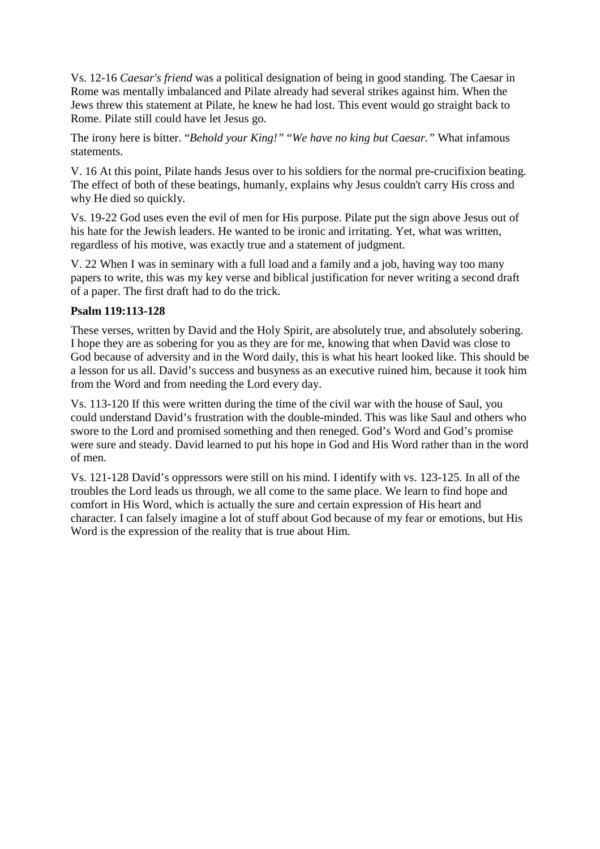Vs. 12-16 *Caesar's friend* was a political designation of being in good standing. The Caesar in Rome was mentally imbalanced and Pilate already had several strikes against him. When the Jews threw this statement at Pilate, he knew he had lost. This event would go straight back to Rome. Pilate still could have let Jesus go.

The irony here is bitter. "*Behold your King!"* "*We have no king but Caesar."* What infamous statements.

V. 16 At this point, Pilate hands Jesus over to his soldiers for the normal pre-crucifixion beating. The effect of both of these beatings, humanly, explains why Jesus couldn't carry His cross and why He died so quickly.

Vs. 19-22 God uses even the evil of men for His purpose. Pilate put the sign above Jesus out of his hate for the Jewish leaders. He wanted to be ironic and irritating. Yet, what was written, regardless of his motive, was exactly true and a statement of judgment.

V. 22 When I was in seminary with a full load and a family and a job, having way too many papers to write, this was my key verse and biblical justification for never writing a second draft of a paper. The first draft had to do the trick.

## **Psalm 119:113-128**

These verses, written by David and the Holy Spirit, are absolutely true, and absolutely sobering. I hope they are as sobering for you as they are for me, knowing that when David was close to God because of adversity and in the Word daily, this is what his heart looked like. This should be a lesson for us all. David's success and busyness as an executive ruined him, because it took him from the Word and from needing the Lord every day.

Vs. 113-120 If this were written during the time of the civil war with the house of Saul, you could understand David's frustration with the double-minded. This was like Saul and others who swore to the Lord and promised something and then reneged. God's Word and God's promise were sure and steady. David learned to put his hope in God and His Word rather than in the word of men.

Vs. 121-128 David's oppressors were still on his mind. I identify with vs. 123-125. In all of the troubles the Lord leads us through, we all come to the same place. We learn to find hope and comfort in His Word, which is actually the sure and certain expression of His heart and character. I can falsely imagine a lot of stuff about God because of my fear or emotions, but His Word is the expression of the reality that is true about Him.